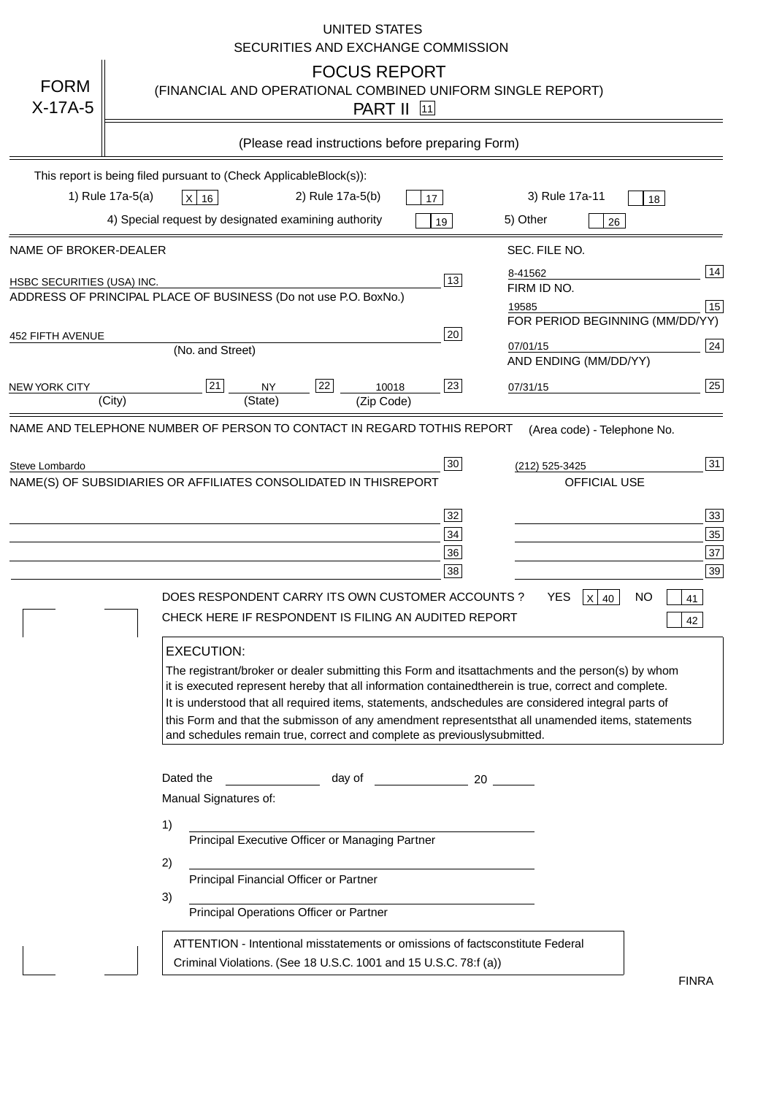|                                   | <b>UNITED STATES</b><br>SECURITIES AND EXCHANGE COMMISSION                                                                                                                                                                                                                                                                                                                                                                                                                                                                                                                                                                                                                                                                                                                                                                                                                                             |
|-----------------------------------|--------------------------------------------------------------------------------------------------------------------------------------------------------------------------------------------------------------------------------------------------------------------------------------------------------------------------------------------------------------------------------------------------------------------------------------------------------------------------------------------------------------------------------------------------------------------------------------------------------------------------------------------------------------------------------------------------------------------------------------------------------------------------------------------------------------------------------------------------------------------------------------------------------|
| <b>FORM</b><br>$X-17A-5$          | <b>FOCUS REPORT</b><br>(FINANCIAL AND OPERATIONAL COMBINED UNIFORM SINGLE REPORT)<br><b>PART II</b> 11                                                                                                                                                                                                                                                                                                                                                                                                                                                                                                                                                                                                                                                                                                                                                                                                 |
|                                   | (Please read instructions before preparing Form)                                                                                                                                                                                                                                                                                                                                                                                                                                                                                                                                                                                                                                                                                                                                                                                                                                                       |
|                                   | This report is being filed pursuant to (Check Applicable<br>$Block(s)$ :<br>3) Rule 17a-11<br>1) Rule 17a-5(a)<br>2) Rule 17a-5(b)<br>$X$ 16<br>17<br>18<br>4) Special request by designated examining authority<br>5) Other<br>19<br>26                                                                                                                                                                                                                                                                                                                                                                                                                                                                                                                                                                                                                                                               |
| NAME OF BROKER-DEALER             | SEC. FILE NO.                                                                                                                                                                                                                                                                                                                                                                                                                                                                                                                                                                                                                                                                                                                                                                                                                                                                                          |
| <b>HSBC SECURITIES (USA) INC.</b> | 14<br>8-41562<br>13<br>FIRM ID NO.<br>ADDRESS OF PRINCIPAL PLACE OF BUSINESS (Do not use P.O. Box<br>No.)<br>15<br>19585<br>FOR PERIOD BEGINNING (MM/DD/YY)                                                                                                                                                                                                                                                                                                                                                                                                                                                                                                                                                                                                                                                                                                                                            |
| <b>452 FIFTH AVENUE</b>           | 20<br>24<br>07/01/15<br>(No. and Street)<br>AND ENDING (MM/DD/YY)                                                                                                                                                                                                                                                                                                                                                                                                                                                                                                                                                                                                                                                                                                                                                                                                                                      |
| <b>NEW YORK CITY</b>              | 25<br>22<br>21<br>23<br><b>NY</b><br>10018<br>07/31/15<br>(City)<br>(State)<br>(Zip Code)                                                                                                                                                                                                                                                                                                                                                                                                                                                                                                                                                                                                                                                                                                                                                                                                              |
| Steve Lombardo                    | 31<br>30<br>(212) 525-3425<br>NAME(S) OF SUBSIDIARIES OR AFFILIATES CONSOLIDATED IN THIS<br><b>REPORT</b><br><b>OFFICIAL USE</b><br>$\overline{33}$<br>32<br>35<br>34<br>37<br>36<br>39<br>38<br>DOES RESPONDENT CARRY ITS OWN CUSTOMER ACCOUNTS?<br><b>YES</b><br>$X$ 40<br><b>NO</b><br>41<br>CHECK HERE IF RESPONDENT IS FILING AN AUDITED REPORT<br>42<br><b>EXECUTION:</b><br>The registrant/broker or dealer submitting this Form and its<br>attachments and the person(s) by whom<br>it is executed represent hereby that all information contained<br>therein is true, correct and complete.<br>It is understood that all required items, statements, and<br>schedules are considered integral parts of<br>this Form and that the submisson of any amendment represents<br>that all unamended items, statements<br>and schedules remain true, correct and complete as previously<br>submitted. |
|                                   | Dated the<br>day of<br>20<br>Manual Signatures of:<br>1)<br>Principal Executive Officer or Managing Partner<br>2)<br>Principal Financial Officer or Partner<br>3)<br>Principal Operations Officer or Partner                                                                                                                                                                                                                                                                                                                                                                                                                                                                                                                                                                                                                                                                                           |
|                                   | ATTENTION - Intentional misstatements or omissions of facts<br>constitute Federal<br>Criminal Violations. (See 18 U.S.C. 1001 and 15 U.S.C. 78:f (a)<br>$\lambda$<br><b>FINRA</b>                                                                                                                                                                                                                                                                                                                                                                                                                                                                                                                                                                                                                                                                                                                      |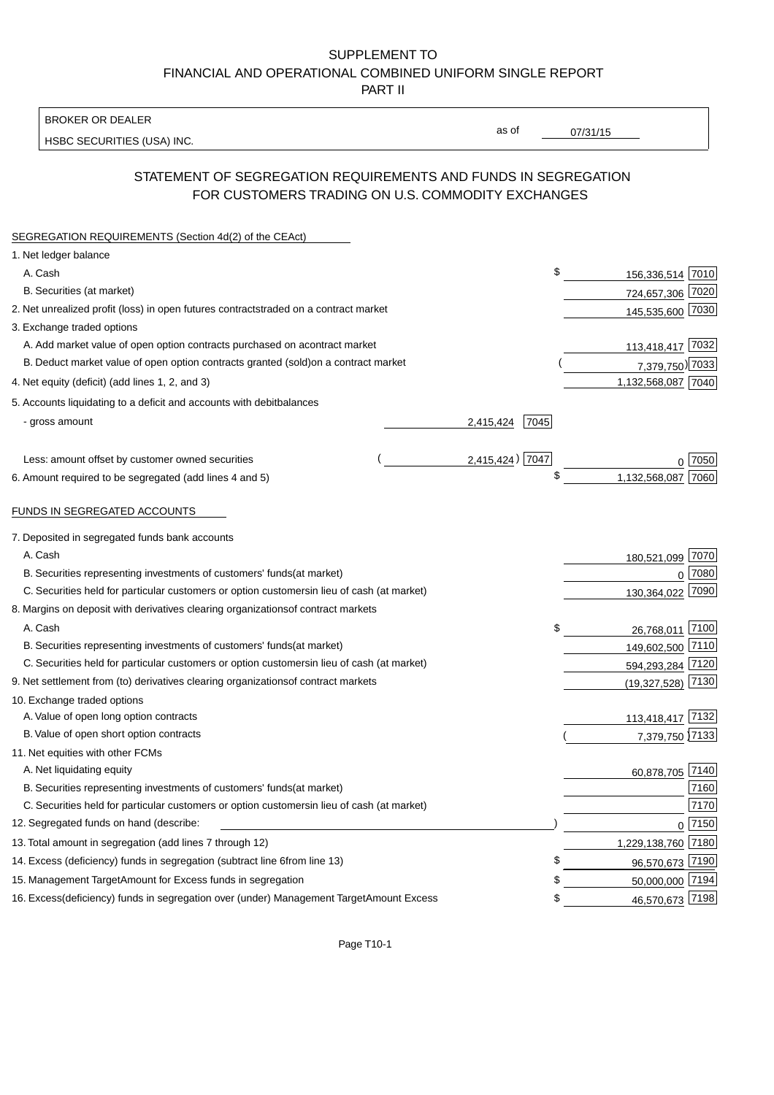#### BROKER OR DEALER

HSBC SECURITIES (USA) INC.

 $07/31/15$ 

as of

## STATEMENT OF SEGREGATION REQUIREMENTS AND FUNDS IN SEGREGATION FOR CUSTOMERS TRADING ON U.S. COMMODITY EXCHANGES

| SEGREGATION REQUIREMENTS (Section 4d(2) of the CEAct)                                          |                    |                    |          |
|------------------------------------------------------------------------------------------------|--------------------|--------------------|----------|
| 1. Net ledger balance                                                                          |                    |                    |          |
| A. Cash                                                                                        | \$                 | 156,336,514 7010   |          |
| B. Securities (at market)                                                                      |                    | 724,657,306 7020   |          |
| 2. Net unrealized profit (loss) in open futures contracts<br>traded on a contract market       |                    | 145,535,600 7030   |          |
| 3. Exchange traded options                                                                     |                    |                    |          |
| A. Add market value of open option contracts purchased on a<br>contract market                 |                    | 113,418,417 7032   |          |
| B. Deduct market value of open option contracts granted (sold)<br>on a contract market         |                    | 7,379,750) 7033    |          |
| 4. Net equity (deficit) (add lines 1, 2, and 3)                                                |                    | 1,132,568,087 7040 |          |
| 5. Accounts liquidating to a deficit and accounts with debit<br>balances                       |                    |                    |          |
| - gross amount                                                                                 | 2,415,424<br>7045  |                    |          |
|                                                                                                |                    |                    |          |
| Less: amount offset by customer owned securities                                               | $2,415,424$ ) 7047 |                    | 0.7050   |
| 6. Amount required to be segregated (add lines 4 and 5)                                        |                    | 1,132,568,087      | 7060     |
| FUNDS IN SEGREGATED ACCOUNTS                                                                   |                    |                    |          |
|                                                                                                |                    |                    |          |
| 7. Deposited in segregated funds bank accounts                                                 |                    |                    |          |
| A. Cash                                                                                        |                    | 180,521,099 7070   |          |
| B. Securities representing investments of customers' funds<br>(at market)                      |                    | $\Omega$           | 7080     |
| C. Securities held for particular customers or option customers<br>in lieu of cash (at market) |                    | 130,364,022        | 7090     |
| 8. Margins on deposit with derivatives clearing organizations<br>of contract markets           |                    |                    |          |
| A. Cash                                                                                        | \$                 | 26,768,011 7100    |          |
| B. Securities representing investments of customers' funds<br>(at market)                      |                    | 149,602,500 7110   |          |
| C. Securities held for particular customers or option customers<br>in lieu of cash (at market) |                    | 594,293,284 7120   |          |
| 9. Net settlement from (to) derivatives clearing organizations<br>of contract markets          |                    | (19, 327, 528)     | 7130     |
| 10. Exchange traded options                                                                    |                    |                    |          |
| A. Value of open long option contracts                                                         |                    | 113,418,417 7132   |          |
| B. Value of open short option contracts                                                        |                    | 7,379,750 7133     |          |
| 11. Net equities with other FCMs                                                               |                    |                    |          |
| A. Net liquidating equity                                                                      |                    | 60,878,705 7140    |          |
| B. Securities representing investments of customers' funds<br>(at market)                      |                    |                    | 7160     |
| C. Securities held for particular customers or option customers<br>in lieu of cash (at market) |                    |                    | 7170     |
| 12. Segregated funds on hand (describe:                                                        |                    |                    | $0$ 7150 |
| 13. Total amount in segregation (add lines 7 through 12)                                       |                    | 1,229,138,760 7180 |          |
| 14. Excess (deficiency) funds in segregation (subtract line 6<br>from line 13)                 | S                  | 96,570,673 7190    |          |
| 15. Management Target Amount for Excess funds in segregation                                   | S                  | 50,000,000 7194    |          |
| 16. Excess (deficiency) funds in segregation over (under) Management Target Amount Excess      | \$                 | 46,570,673 7198    |          |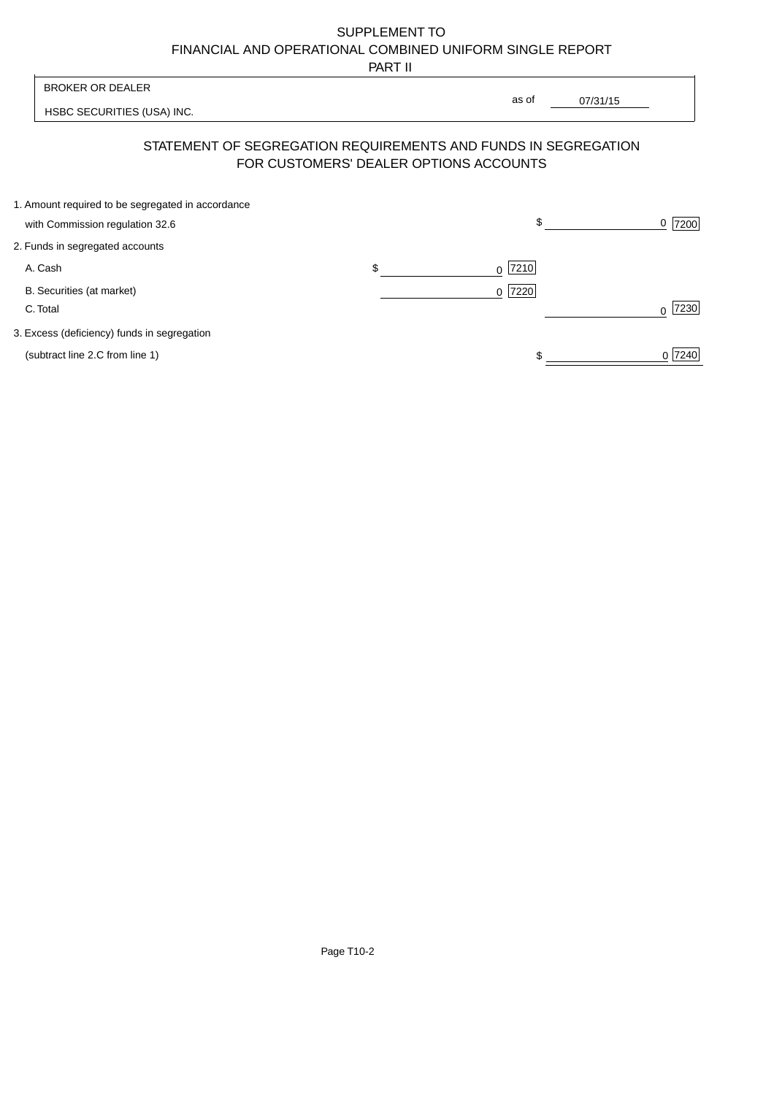PART II

|                                                   | .                               |                  |                                                                                                                               |
|---------------------------------------------------|---------------------------------|------------------|-------------------------------------------------------------------------------------------------------------------------------|
| <b>BROKER OR DEALER</b>                           |                                 |                  |                                                                                                                               |
| HSBC SECURITIES (USA) INC.                        |                                 |                  |                                                                                                                               |
|                                                   |                                 |                  |                                                                                                                               |
| 1. Amount required to be segregated in accordance |                                 | \$               | 7200<br>0                                                                                                                     |
| 2. Funds in segregated accounts                   |                                 |                  |                                                                                                                               |
| A. Cash                                           | \$                              | 7210<br>0        |                                                                                                                               |
| B. Securities (at market)<br>C. Total             |                                 | 7220<br>$\Omega$ | 7230<br>$\Omega$                                                                                                              |
| 3. Excess (deficiency) funds in segregation       |                                 |                  |                                                                                                                               |
| (subtract line 2.C from line 1)                   |                                 |                  | 0 7240                                                                                                                        |
|                                                   | with Commission regulation 32.6 |                  | as of<br>07/31/15<br>STATEMENT OF SEGREGATION REQUIREMENTS AND FUNDS IN SEGREGATION<br>FOR CUSTOMERS' DEALER OPTIONS ACCOUNTS |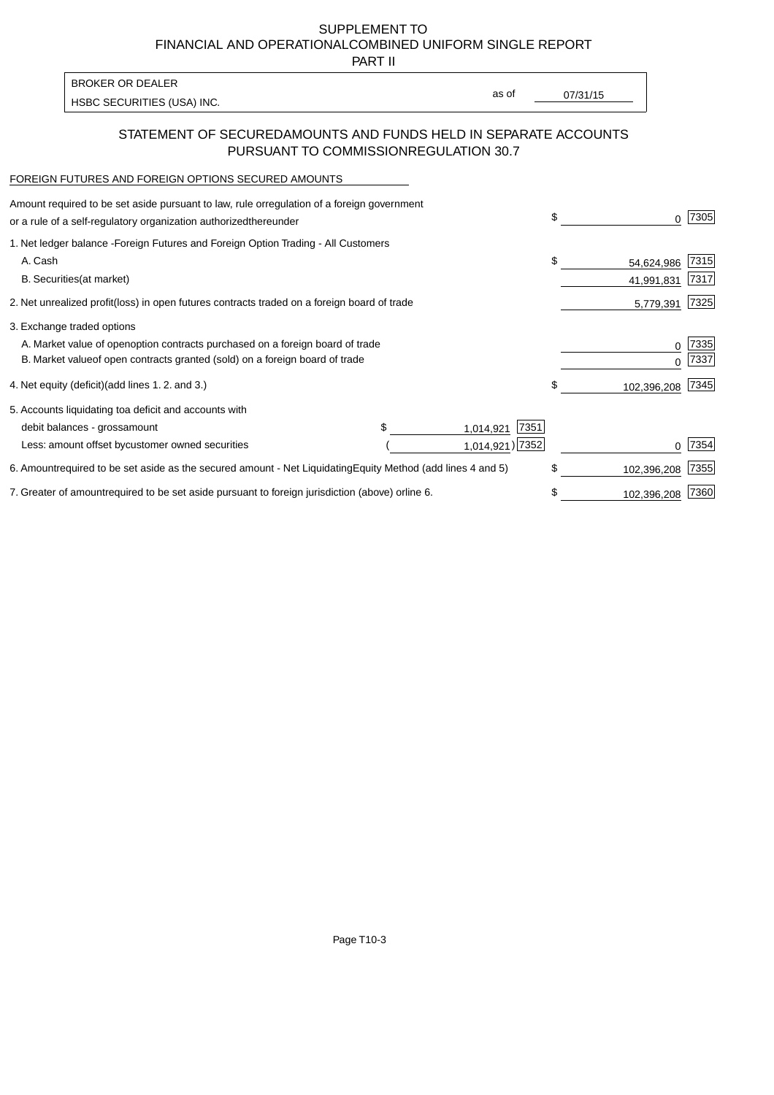PART II

as of

HSBC SECURITIES (USA) INC. The state of the second second in the second second second in the second second second second second second second second second second second second second second second second second second sec

#### STATEMENT OF SECURED AMOUNTS AND FUNDS HELD IN SEPARATE ACCOUNTS PURSUANT TO COMMISSION REGULATION 30.7

#### FOREIGN FUTURES AND FOREIGN OPTIONS SECURED AMOUNTS

BROKER OR DEALER

| Amount required to be set aside pursuant to law, rule or<br>regulation of a foreign government<br>or a rule of a self-regulatory organization authorized<br>thereunder | \$<br>0           | 7305         |
|------------------------------------------------------------------------------------------------------------------------------------------------------------------------|-------------------|--------------|
| 1. Net ledger balance - Foreign Futures and Foreign Option Trading - All Customers<br>A. Cash                                                                          | \$<br>54,624,986  | 7315         |
| <b>B.</b> Securities<br>(at market)                                                                                                                                    | 41,991,831        | 7317         |
| 2. Net unrealized profit (loss) in open futures contracts traded on a foreign board of trade                                                                           | 5,779,391         | 7325         |
| 3. Exchange traded options                                                                                                                                             |                   |              |
| A. Market value of open option contracts purchased on a foreign board of trade<br>B. Market value of open contracts granted (sold) on a foreign board of trade         | 0<br>U            | 7335<br>7337 |
| 4. Net equity (deficit) (add lines 1.2. and 3.)                                                                                                                        | \$<br>102,396,208 | 7345         |
| 5. Accounts liquidating to a deficit and accounts with                                                                                                                 |                   |              |
| 7351<br>debit balances - gross<br>amount<br>1,014,921                                                                                                                  |                   |              |
| 1,014,921) 7352<br>Less: amount offset by customer owned securities                                                                                                    |                   | 7354         |
| 6. Amount required to be set aside as the secured amount - Net Liquidating<br>Equity Method (add lines 4 and 5)                                                        | \$<br>102,396,208 | 7355         |
| 7. Greater of amount required to be set aside pursuant to foreign jurisdiction (above) or<br>line 6.                                                                   | \$<br>102,396,208 | 7360         |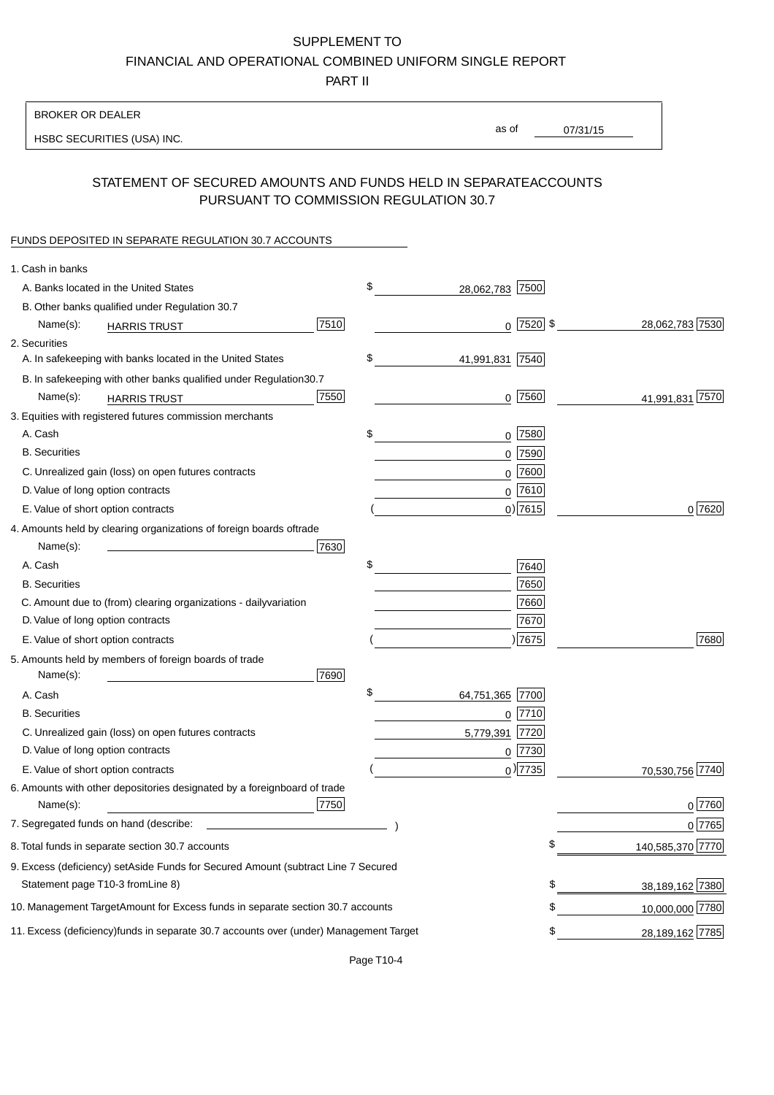PART II

| <b>BROKER OR DEALER</b>                                                                           |                       |                 |                   |
|---------------------------------------------------------------------------------------------------|-----------------------|-----------------|-------------------|
| HSBC SECURITIES (USA) INC.                                                                        | as of                 | 07/31/15        |                   |
|                                                                                                   |                       |                 |                   |
| STATEMENT OF SECURED AMOUNTS AND FUNDS HELD IN SEPARATE<br>PURSUANT TO COMMISSION REGULATION 30.7 |                       | <b>ACCOUNTS</b> |                   |
| FUNDS DEPOSITED IN SEPARATE REGULATION 30.7 ACCOUNTS                                              |                       |                 |                   |
| 1. Cash in banks                                                                                  |                       |                 |                   |
| A. Banks located in the United States                                                             | \$<br>28,062,783 7500 |                 |                   |
| B. Other banks qualified under Regulation 30.7                                                    |                       |                 |                   |
| 7510<br>Name(s):<br><b>HARRIS TRUST</b>                                                           | $0$  7520  \$         |                 | 28,062,783 7530   |
| 2. Securities                                                                                     |                       |                 |                   |
| A. In safekeeping with banks located in the United States                                         | \$<br>41,991,831 7540 |                 |                   |
| B. In safekeeping with other banks qualified under Regulation<br>30.7                             |                       |                 |                   |
| 7550<br>Name(s):<br><b>HARRIS TRUST</b>                                                           | $0$ 7560              |                 | 41,991,831 7570   |
| 3. Equities with registered futures commission merchants                                          |                       |                 |                   |
| A. Cash                                                                                           | \$<br>$0$ 7580        |                 |                   |
| <b>B.</b> Securities                                                                              | $0$ 7590              |                 |                   |
| C. Unrealized gain (loss) on open futures contracts                                               | 7600<br>0             |                 |                   |
| D. Value of long option contracts                                                                 | $0$ 7610              |                 |                   |
| E. Value of short option contracts                                                                | $0)$ 7615             |                 | 0 7620            |
| 4. Amounts held by clearing organizations of foreign boards of<br>trade                           |                       |                 |                   |
| 7630<br>Name(s):                                                                                  |                       |                 |                   |
| A. Cash                                                                                           | \$<br>7640            |                 |                   |
| <b>B.</b> Securities                                                                              | 7650                  |                 |                   |
| C. Amount due to (from) clearing organizations - daily<br>variation                               | 7660                  |                 |                   |
| D. Value of long option contracts                                                                 | 7670                  |                 |                   |
| E. Value of short option contracts                                                                | ) 7675                |                 | 7680              |
| 5. Amounts held by members of foreign boards of trade<br>7690<br>Name(s):                         |                       |                 |                   |
| A. Cash                                                                                           | \$<br>64,751,365 7700 |                 |                   |
| <b>B.</b> Securities                                                                              | $0$ 7710              |                 |                   |
| C. Unrealized gain (loss) on open futures contracts                                               | 5,779,391 7720        |                 |                   |
| D. Value of long option contracts                                                                 | 0 7730                |                 |                   |
| E. Value of short option contracts                                                                | $0$ ) 7735            |                 | 70,530,756 7740   |
| 6. Amounts with other depositories designated by a foreign<br>board of trade<br>7750<br>Name(s):  |                       |                 | 0 7760            |
| 7. Segregated funds on hand (describe:                                                            |                       |                 | 0 7765            |
| 8. Total funds in separate section 30.7 accounts                                                  |                       | \$              | 140,585,370 7770  |
| 9. Excess (deficiency) set Aside Funds for Secured Amount (subtract Line 7 Secured                |                       |                 |                   |
| Statement page T10-3 from Line 8)                                                                 |                       | \$              | 38,189,162 7380   |
| 10. Management Target Amount for Excess funds in separate section 30.7 accounts                   |                       | \$              | 10,000,000 7780   |
|                                                                                                   |                       |                 |                   |
| 11. Excess (deficiency) funds in separate 30.7 accounts over (under) Management Target            |                       | \$              | 28, 189, 162 7785 |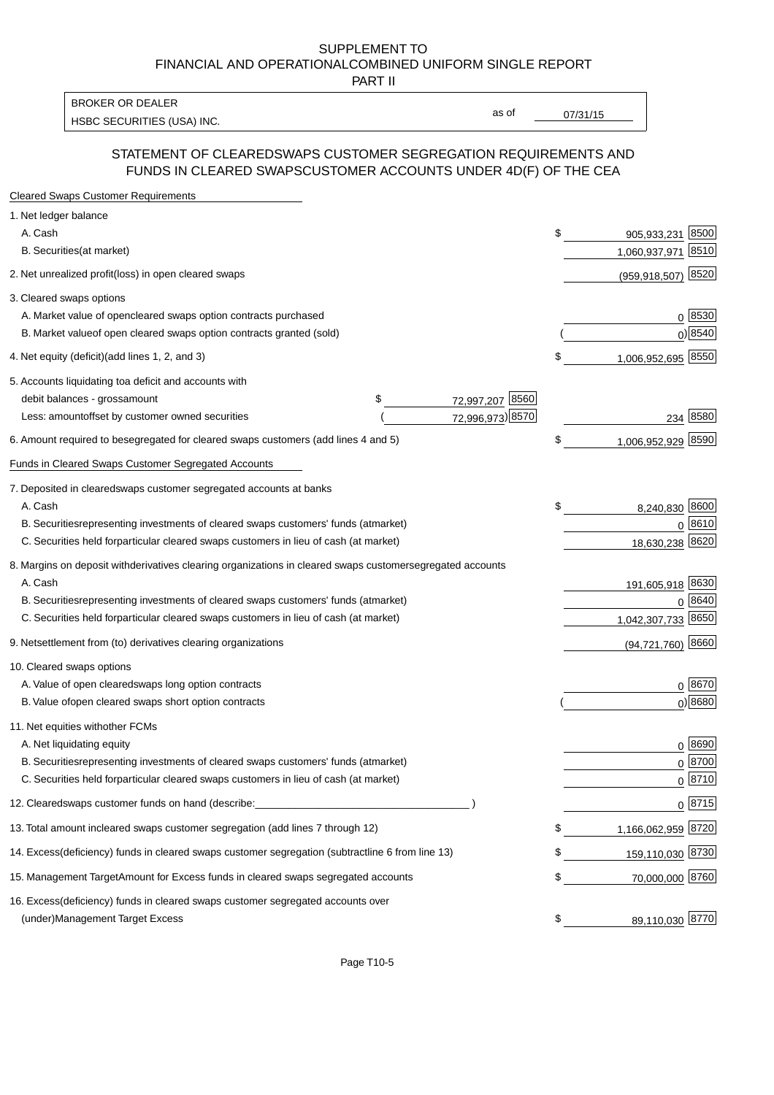PART II

HSBC SECURITIES (USA) INC. The contract of the contract of the contract of the contract of the contract of the contract of the contract of the contract of the contract of the contract of the contract of the contract of the BROKER OR DEALER

as of

#### STATEMENT OF CLEARED SWAPS CUSTOMER SEGREGATION REQUIREMENTS AND FUNDS IN CLEARED SWAPS CUSTOMER ACCOUNTS UNDER 4D(F) OF THE CEA

| <b>Cleared Swaps Customer Requirements</b>                                                                  |    |                         |  |
|-------------------------------------------------------------------------------------------------------------|----|-------------------------|--|
| 1. Net ledger balance                                                                                       |    |                         |  |
| A. Cash                                                                                                     | \$ | 8500<br>905,933,231     |  |
| B. Securities (at market)                                                                                   |    | 8510<br>1,060,937,971   |  |
| 2. Net unrealized profit (loss) in open cleared swaps                                                       |    | 8520<br>(959, 918, 507) |  |
| 3. Cleared swaps options                                                                                    |    |                         |  |
| A. Market value of open cleared swaps option contracts purchased                                            |    | 0   8530                |  |
| B. Market value of open cleared swaps option contracts granted (sold)                                       |    | $0)$ 8540               |  |
| 4. Net equity (deficit) (add lines 1, 2, and 3)                                                             | \$ | 1,006,952,695 8550      |  |
| 5. Accounts liquidating to a deficit and accounts with                                                      |    |                         |  |
| 72,997,207 8560<br>debit balances - gross<br>\$<br>amount                                                   |    |                         |  |
| 72,996,973) 8570<br>Less: amount offset by customer owned securities                                        |    | 8580<br>234             |  |
| 6. Amount required to be segregated for cleared swaps customers (add lines 4 and 5)                         | S  | 8590<br>1,006,952,929   |  |
| Funds in Cleared Swaps Customer Segregated Accounts                                                         |    |                         |  |
| 7. Deposited in cleared swaps customer segregated accounts at banks                                         |    |                         |  |
| A. Cash                                                                                                     | \$ | 8,240,830 8600          |  |
| B. Securities representing investments of cleared swaps customers' funds (at market)                        |    | 0 8610                  |  |
| C. Securities held for particular cleared swaps customers in lieu of cash (at market)                       |    | 18,630,238 8620         |  |
| 8. Margins on deposit with derivatives clearing organizations in cleared swaps customer segregated accounts |    |                         |  |
| A. Cash                                                                                                     |    | 191,605,918 8630        |  |
| B. Securities representing investments of cleared swaps customers' funds (at market)                        |    | 8640<br>0               |  |
| C. Securities held for particular cleared swaps customers in lieu of cash (at market)                       |    | 8650<br>1,042,307,733   |  |
| 9. Net settlement from (to) derivatives clearing organizations                                              |    | $(94, 721, 760)$ 8660   |  |
| 10. Cleared swaps options                                                                                   |    |                         |  |
| A. Value of open cleared swaps long option contracts                                                        |    | $0^{8670}$              |  |
| B. Value of open cleared swaps short option contracts                                                       |    | $0$ ) 8680              |  |
| 11. Net equities with other FCMs                                                                            |    |                         |  |
| A. Net liquidating equity                                                                                   |    | $0^{8690}$              |  |
| B. Securities representing investments of cleared swaps customers' funds (at market)                        |    | $0^{8700}$              |  |
| C. Securities held for particular cleared swaps customers in lieu of cash (at market)                       |    | 0 8710                  |  |
| 12. Cleared swaps customer funds on hand (describe:                                                         |    | $0 \;  8715 $           |  |
| 13. Total amount in cleared swaps customer segregation (add lines 7 through 12)                             | S  | 1,166,062,959 8720      |  |
| 14. Excess (deficiency) funds in cleared swaps customer segregation (subtract line 6 from line 13)          |    | 159,110,030 8730        |  |
| 15. Management Target Amount for Excess funds in cleared swaps segregated accounts                          | \$ | 70,000,000 8760         |  |
| 16. Excess<br>(deficiency) funds in cleared swaps customer segregated accounts over                         |    |                         |  |
| <b>Management Target Excess</b><br>(under)                                                                  | \$ | 89,110,030 8770         |  |